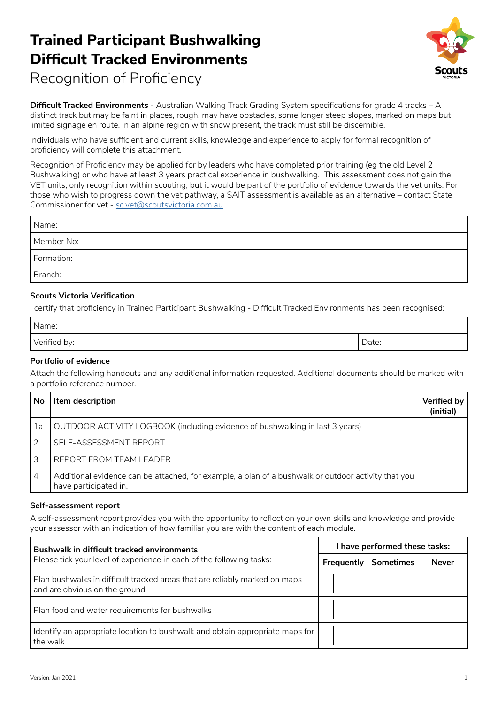

Recognition of Proficiency

**Difficult Tracked Environments** - Australian Walking Track Grading System specifications for grade 4 tracks – A distinct track but may be faint in places, rough, may have obstacles, some longer steep slopes, marked on maps but limited signage en route. In an alpine region with snow present, the track must still be discernible.

Individuals who have sufficient and current skills, knowledge and experience to apply for formal recognition of proficiency will complete this attachment.

Recognition of Proficiency may be applied for by leaders who have completed prior training (eg the old Level 2 Bushwalking) or who have at least 3 years practical experience in bushwalking. This assessment does not gain the VET units, only recognition within scouting, but it would be part of the portfolio of evidence towards the vet units. For those who wish to progress down the vet pathway, a SAIT assessment is available as an alternative – contact State Commissioner for vet - sc.vet@scoutsvictoria.com.au

| Name:      |  |
|------------|--|
| Member No: |  |
| Formation: |  |
| Branch:    |  |

### **Scouts Victoria Verification**

I certify that proficiency in Trained Participant Bushwalking - Difficult Tracked Environments has been recognised:

| Name:        |       |
|--------------|-------|
| Verified by: | Date: |

#### **Portfolio of evidence**

Attach the following handouts and any additional information requested. Additional documents should be marked with a portfolio reference number.

| <b>No</b> | Item description                                                                                                             | <b>Verified by</b><br>(initial) |
|-----------|------------------------------------------------------------------------------------------------------------------------------|---------------------------------|
| 1a        | OUTDOOR ACTIVITY LOGBOOK (including evidence of bushwalking in last 3 years)                                                 |                                 |
|           | SELF-ASSESSMENT REPORT                                                                                                       |                                 |
|           | REPORT FROM TEAM LEADER                                                                                                      |                                 |
| 4         | Additional evidence can be attached, for example, a plan of a bushwalk or outdoor activity that you<br>have participated in. |                                 |

#### **Self-assessment report**

A self-assessment report provides you with the opportunity to reflect on your own skills and knowledge and provide your assessor with an indication of how familiar you are with the content of each module.

| <b>Bushwalk in difficult tracked environments</b><br>Please tick your level of experience in each of the following tasks: | I have performed these tasks: |                  |              |
|---------------------------------------------------------------------------------------------------------------------------|-------------------------------|------------------|--------------|
|                                                                                                                           | Frequently                    | <b>Sometimes</b> | <b>Never</b> |
| Plan bushwalks in difficult tracked areas that are reliably marked on maps<br>and are obvious on the ground               |                               |                  |              |
| Plan food and water requirements for bushwalks                                                                            |                               |                  |              |
| Identify an appropriate location to bushwalk and obtain appropriate maps for<br>the walk                                  |                               |                  |              |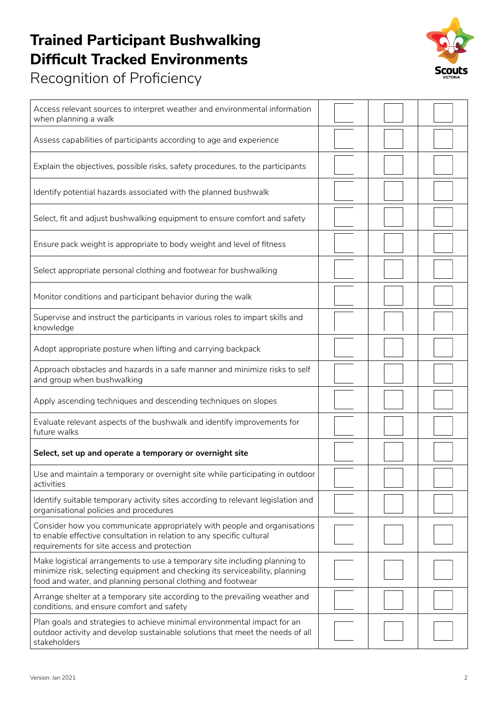Recognition of Proficiency



| Access relevant sources to interpret weather and environmental information<br>when planning a walk                                                                                                                        |  |  |
|---------------------------------------------------------------------------------------------------------------------------------------------------------------------------------------------------------------------------|--|--|
| Assess capabilities of participants according to age and experience                                                                                                                                                       |  |  |
| Explain the objectives, possible risks, safety procedures, to the participants                                                                                                                                            |  |  |
| Identify potential hazards associated with the planned bushwalk                                                                                                                                                           |  |  |
| Select, fit and adjust bushwalking equipment to ensure comfort and safety                                                                                                                                                 |  |  |
| Ensure pack weight is appropriate to body weight and level of fitness                                                                                                                                                     |  |  |
| Select appropriate personal clothing and footwear for bushwalking                                                                                                                                                         |  |  |
| Monitor conditions and participant behavior during the walk                                                                                                                                                               |  |  |
| Supervise and instruct the participants in various roles to impart skills and<br>knowledge                                                                                                                                |  |  |
| Adopt appropriate posture when lifting and carrying backpack                                                                                                                                                              |  |  |
| Approach obstacles and hazards in a safe manner and minimize risks to self<br>and group when bushwalking                                                                                                                  |  |  |
| Apply ascending techniques and descending techniques on slopes                                                                                                                                                            |  |  |
| Evaluate relevant aspects of the bushwalk and identify improvements for<br>future walks                                                                                                                                   |  |  |
| Select, set up and operate a temporary or overnight site                                                                                                                                                                  |  |  |
| Use and maintain a temporary or overnight site while participating in outdoor<br>activities                                                                                                                               |  |  |
| Identify suitable temporary activity sites according to relevant legislation and<br>organisational policies and procedures                                                                                                |  |  |
| Consider how you communicate appropriately with people and organisations<br>to enable effective consultation in relation to any specific cultural<br>requirements for site access and protection                          |  |  |
| Make logistical arrangements to use a temporary site including planning to<br>minimize risk, selecting equipment and checking its serviceability, planning<br>food and water, and planning personal clothing and footwear |  |  |
| Arrange shelter at a temporary site according to the prevailing weather and<br>conditions, and ensure comfort and safety                                                                                                  |  |  |
| Plan goals and strategies to achieve minimal environmental impact for an<br>outdoor activity and develop sustainable solutions that meet the needs of all<br>stakeholders                                                 |  |  |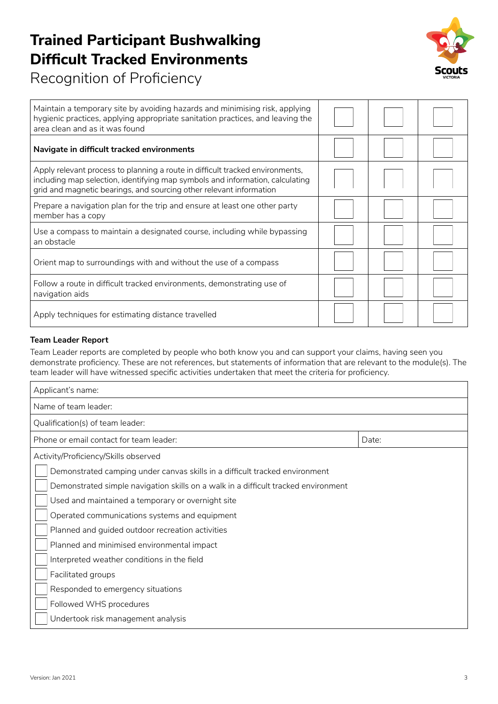

Recognition of Proficiency

| Maintain a temporary site by avoiding hazards and minimising risk, applying<br>hygienic practices, applying appropriate sanitation practices, and leaving the<br>area clean and as it was found                                       |  |  |
|---------------------------------------------------------------------------------------------------------------------------------------------------------------------------------------------------------------------------------------|--|--|
| Navigate in difficult tracked environments                                                                                                                                                                                            |  |  |
| Apply relevant process to planning a route in difficult tracked environments,<br>including map selection, identifying map symbols and information, calculating<br>grid and magnetic bearings, and sourcing other relevant information |  |  |
| Prepare a navigation plan for the trip and ensure at least one other party<br>member has a copy                                                                                                                                       |  |  |
| Use a compass to maintain a designated course, including while bypassing<br>an obstacle                                                                                                                                               |  |  |
| Orient map to surroundings with and without the use of a compass                                                                                                                                                                      |  |  |
| Follow a route in difficult tracked environments, demonstrating use of<br>navigation aids                                                                                                                                             |  |  |
| Apply techniques for estimating distance travelled                                                                                                                                                                                    |  |  |

### **Team Leader Report**

Team Leader reports are completed by people who both know you and can support your claims, having seen you demonstrate proficiency. These are not references, but statements of information that are relevant to the module(s). The team leader will have witnessed specific activities undertaken that meet the criteria for proficiency.

| Applicant's name:                                                                  |       |  |
|------------------------------------------------------------------------------------|-------|--|
| Name of team leader:                                                               |       |  |
| Qualification(s) of team leader:                                                   |       |  |
| Phone or email contact for team leader:                                            | Date: |  |
| Activity/Proficiency/Skills observed                                               |       |  |
| Demonstrated camping under canvas skills in a difficult tracked environment        |       |  |
| Demonstrated simple navigation skills on a walk in a difficult tracked environment |       |  |
| Used and maintained a temporary or overnight site                                  |       |  |
| Operated communications systems and equipment                                      |       |  |
| Planned and guided outdoor recreation activities                                   |       |  |
| Planned and minimised environmental impact                                         |       |  |
| Interpreted weather conditions in the field                                        |       |  |
| Facilitated groups                                                                 |       |  |
| Responded to emergency situations                                                  |       |  |
| Followed WHS procedures                                                            |       |  |
| Undertook risk management analysis                                                 |       |  |